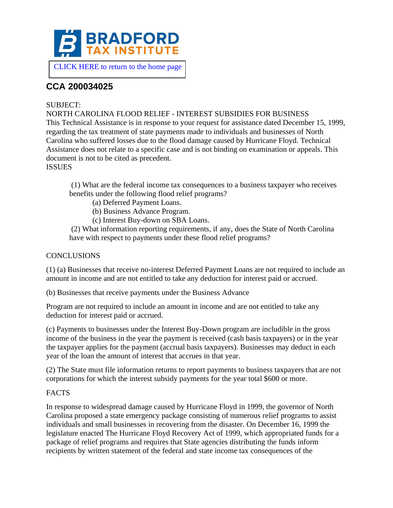

[CLICK HERE to return to the home page](https://www.bradfordtaxinstitute.com)

# **CCA 200034025**

## SUBJECT:

NORTH CAROLINA FLOOD RELIEF - INTEREST SUBSIDIES FOR BUSINESS This Technical Assistance is in response to your request for assistance dated December 15, 1999, regarding the tax treatment of state payments made to individuals and businesses of North Carolina who suffered losses due to the flood damage caused by Hurricane Floyd. Technical Assistance does not relate to a specific case and is not binding on examination or appeals. This document is not to be cited as precedent.

**ISSUES** 

(1) What are the federal income tax consequences to a business taxpayer who receives benefits under the following flood relief programs?

- (a) Deferred Payment Loans.
- (b) Business Advance Program.
- (c) Interest Buy-down on SBA Loans.

(2) What information reporting requirements, if any, does the State of North Carolina have with respect to payments under these flood relief programs?

## **CONCLUSIONS**

(1) (a) Businesses that receive no-interest Deferred Payment Loans are not required to include an amount in income and are not entitled to take any deduction for interest paid or accrued.

(b) Businesses that receive payments under the Business Advance

Program are not required to include an amount in income and are not entitled to take any deduction for interest paid or accrued.

(c) Payments to businesses under the Interest Buy-Down program are includible in the gross income of the business in the year the payment is received (cash basis taxpayers) or in the year the taxpayer applies for the payment (accrual basis taxpayers). Businesses may deduct in each year of the loan the amount of interest that accrues in that year.

(2) The State must file information returns to report payments to business taxpayers that are not corporations for which the interest subsidy payments for the year total \$600 or more.

## FACTS

In response to widespread damage caused by Hurricane Floyd in 1999, the governor of North Carolina proposed a state emergency package consisting of numerous relief programs to assist individuals and small businesses in recovering from the disaster. On December 16, 1999 the legislature enacted The Hurricane Floyd Recovery Act of 1999, which appropriated funds for a package of relief programs and requires that State agencies distributing the funds inform recipients by written statement of the federal and state income tax consequences of the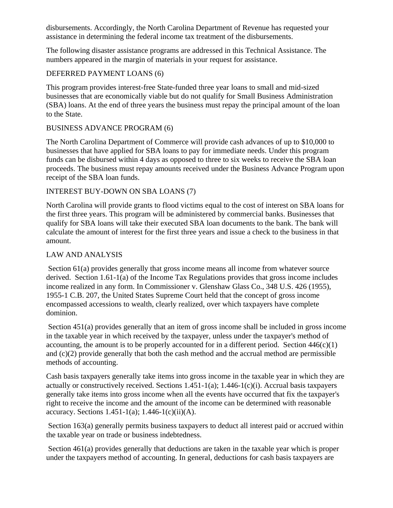disbursements. Accordingly, the North Carolina Department of Revenue has requested your assistance in determining the federal income tax treatment of the disbursements.

The following disaster assistance programs are addressed in this Technical Assistance. The numbers appeared in the margin of materials in your request for assistance.

#### DEFERRED PAYMENT LOANS (6)

This program provides interest-free State-funded three year loans to small and mid-sized businesses that are economically viable but do not qualify for Small Business Administration (SBA) loans. At the end of three years the business must repay the principal amount of the loan to the State.

#### BUSINESS ADVANCE PROGRAM (6)

The North Carolina Department of Commerce will provide cash advances of up to \$10,000 to businesses that have applied for SBA loans to pay for immediate needs. Under this program funds can be disbursed within 4 days as opposed to three to six weeks to receive the SBA loan proceeds. The business must repay amounts received under the Business Advance Program upon receipt of the SBA loan funds.

#### INTEREST BUY-DOWN ON SBA LOANS (7)

North Carolina will provide grants to flood victims equal to the cost of interest on SBA loans for the first three years. This program will be administered by commercial banks. Businesses that qualify for SBA loans will take their executed SBA loan documents to the bank. The bank will calculate the amount of interest for the first three years and issue a check to the business in that amount.

#### LAW AND ANALYSIS

Section 61(a) provides generally that gross income means all income from whatever source derived. Section 1.61-1(a) of the Income Tax Regulations provides that gross income includes income realized in any form. In Commissioner v. Glenshaw Glass Co., 348 U.S. 426 (1955), 1955-1 C.B. 207, the United States Supreme Court held that the concept of gross income encompassed accessions to wealth, clearly realized, over which taxpayers have complete dominion.

Section 451(a) provides generally that an item of gross income shall be included in gross income in the taxable year in which received by the taxpayer, unless under the taxpayer's method of accounting, the amount is to be properly accounted for in a different period. Section  $446(c)(1)$ and (c)(2) provide generally that both the cash method and the accrual method are permissible methods of accounting.

Cash basis taxpayers generally take items into gross income in the taxable year in which they are actually or constructively received. Sections  $1.451-1(a)$ ;  $1.446-1(c)$ (i). Accrual basis taxpayers generally take items into gross income when all the events have occurred that fix the taxpayer's right to receive the income and the amount of the income can be determined with reasonable accuracy. Sections  $1.451-1(a)$ ;  $1.446-1(c)(ii)(A)$ .

Section 163(a) generally permits business taxpayers to deduct all interest paid or accrued within the taxable year on trade or business indebtedness.

Section 461(a) provides generally that deductions are taken in the taxable year which is proper under the taxpayers method of accounting. In general, deductions for cash basis taxpayers are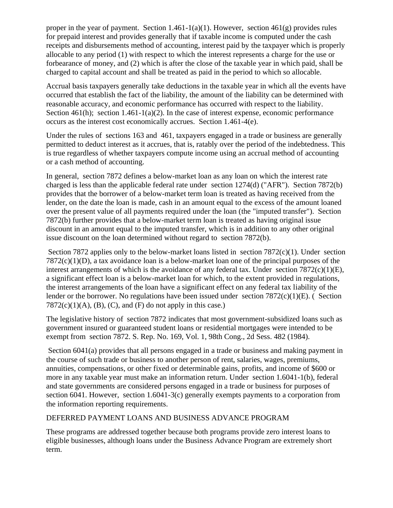proper in the year of payment. Section 1.461-1(a)(1). However, section  $461(g)$  provides rules for prepaid interest and provides generally that if taxable income is computed under the cash receipts and disbursements method of accounting, interest paid by the taxpayer which is properly allocable to any period (1) with respect to which the interest represents a charge for the use or forbearance of money, and (2) which is after the close of the taxable year in which paid, shall be charged to capital account and shall be treated as paid in the period to which so allocable.

Accrual basis taxpayers generally take deductions in the taxable year in which all the events have occurred that establish the fact of the liability, the amount of the liability can be determined with reasonable accuracy, and economic performance has occurred with respect to the liability. Section 461(h); section 1.461-1(a)(2). In the case of interest expense, economic performance occurs as the interest cost economically accrues. Section 1.461-4(e).

Under the rules of sections 163 and 461, taxpayers engaged in a trade or business are generally permitted to deduct interest as it accrues, that is, ratably over the period of the indebtedness. This is true regardless of whether taxpayers compute income using an accrual method of accounting or a cash method of accounting.

In general, section 7872 defines a below-market loan as any loan on which the interest rate charged is less than the applicable federal rate under section 1274(d) ("AFR"). Section 7872(b) provides that the borrower of a below-market term loan is treated as having received from the lender, on the date the loan is made, cash in an amount equal to the excess of the amount loaned over the present value of all payments required under the loan (the "imputed transfer"). Section 7872(b) further provides that a below-market term loan is treated as having original issue discount in an amount equal to the imputed transfer, which is in addition to any other original issue discount on the loan determined without regard to section 7872(b).

Section 7872 applies only to the below-market loans listed in section 7872(c)(1). Under section 7872(c)(1)(D), a tax avoidance loan is a below-market loan one of the principal purposes of the interest arrangements of which is the avoidance of any federal tax. Under section  $7872(c)(1)(E)$ , a significant effect loan is a below-market loan for which, to the extent provided in regulations, the interest arrangements of the loan have a significant effect on any federal tax liability of the lender or the borrower. No regulations have been issued under section 7872(c)(1)(E). ( Section  $7872(c)(1)(A)$ , (B), (C), and (F) do not apply in this case.)

The legislative history of section 7872 indicates that most government-subsidized loans such as government insured or guaranteed student loans or residential mortgages were intended to be exempt from section 7872. S. Rep. No. 169, Vol. 1, 98th Cong., 2d Sess. 482 (1984).

Section 6041(a) provides that all persons engaged in a trade or business and making payment in the course of such trade or business to another person of rent, salaries, wages, premiums, annuities, compensations, or other fixed or determinable gains, profits, and income of \$600 or more in any taxable year must make an information return. Under section 1.6041-1(b), federal and state governments are considered persons engaged in a trade or business for purposes of section 6041. However, section 1.6041-3(c) generally exempts payments to a corporation from the information reporting requirements.

# DEFERRED PAYMENT LOANS AND BUSINESS ADVANCE PROGRAM

These programs are addressed together because both programs provide zero interest loans to eligible businesses, although loans under the Business Advance Program are extremely short term.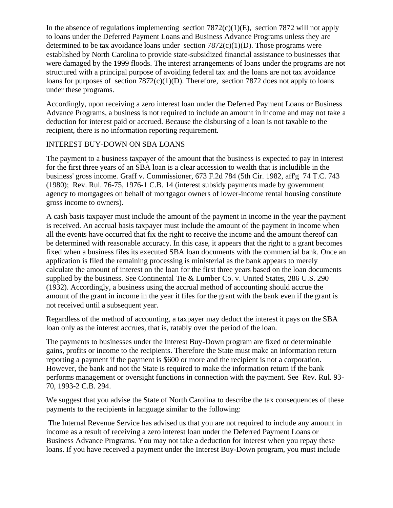In the absence of regulations implementing section  $7872(c)(1)(E)$ , section  $7872$  will not apply to loans under the Deferred Payment Loans and Business Advance Programs unless they are determined to be tax avoidance loans under section  $7872(c)(1)(D)$ . Those programs were established by North Carolina to provide state-subsidized financial assistance to businesses that were damaged by the 1999 floods. The interest arrangements of loans under the programs are not structured with a principal purpose of avoiding federal tax and the loans are not tax avoidance loans for purposes of section  $7872(c)(1)(D)$ . Therefore, section 7872 does not apply to loans under these programs.

Accordingly, upon receiving a zero interest loan under the Deferred Payment Loans or Business Advance Programs, a business is not required to include an amount in income and may not take a deduction for interest paid or accrued. Because the disbursing of a loan is not taxable to the recipient, there is no information reporting requirement.

# INTEREST BUY-DOWN ON SBA LOANS

The payment to a business taxpayer of the amount that the business is expected to pay in interest for the first three years of an SBA loan is a clear accession to wealth that is includible in the business' gross income. Graff v. Commissioner, 673 F.2d 784 (5th Cir. 1982, aff'g 74 T.C. 743 (1980); Rev. Rul. 76-75, 1976-1 C.B. 14 (interest subsidy payments made by government agency to mortgagees on behalf of mortgagor owners of lower-income rental housing constitute gross income to owners).

A cash basis taxpayer must include the amount of the payment in income in the year the payment is received. An accrual basis taxpayer must include the amount of the payment in income when all the events have occurred that fix the right to receive the income and the amount thereof can be determined with reasonable accuracy. In this case, it appears that the right to a grant becomes fixed when a business files its executed SBA loan documents with the commercial bank. Once an application is filed the remaining processing is ministerial as the bank appears to merely calculate the amount of interest on the loan for the first three years based on the loan documents supplied by the business. See Continental Tie & Lumber Co. v. United States, 286 U.S. 290 (1932). Accordingly, a business using the accrual method of accounting should accrue the amount of the grant in income in the year it files for the grant with the bank even if the grant is not received until a subsequent year.

Regardless of the method of accounting, a taxpayer may deduct the interest it pays on the SBA loan only as the interest accrues, that is, ratably over the period of the loan.

The payments to businesses under the Interest Buy-Down program are fixed or determinable gains, profits or income to the recipients. Therefore the State must make an information return reporting a payment if the payment is \$600 or more and the recipient is not a corporation. However, the bank and not the State is required to make the information return if the bank performs management or oversight functions in connection with the payment. See Rev. Rul. 93- 70, 1993-2 C.B. 294.

We suggest that you advise the State of North Carolina to describe the tax consequences of these payments to the recipients in language similar to the following:

The Internal Revenue Service has advised us that you are not required to include any amount in income as a result of receiving a zero interest loan under the Deferred Payment Loans or Business Advance Programs. You may not take a deduction for interest when you repay these loans. If you have received a payment under the Interest Buy-Down program, you must include